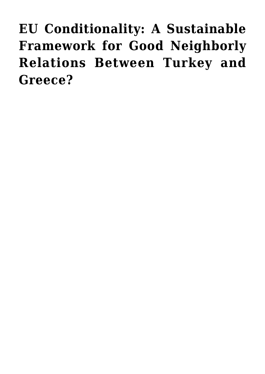**[EU Conditionality: A Sustainable](https://www.uikpanorama.com/blog/2022/03/31/eucats/) [Framework for Good Neighborly](https://www.uikpanorama.com/blog/2022/03/31/eucats/) [Relations Between Turkey and](https://www.uikpanorama.com/blog/2022/03/31/eucats/) [Greece?](https://www.uikpanorama.com/blog/2022/03/31/eucats/)**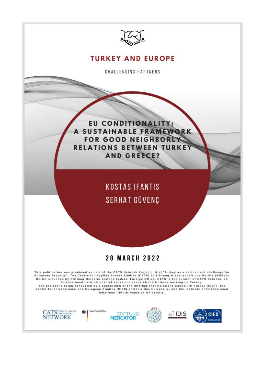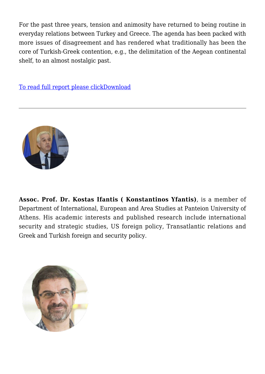For the past three years, tension and animosity have returned to being routine in everyday relations between Turkey and Greece. The agenda has been packed with more issues of disagreement and has rendered what traditionally has been the core of Turkish-Greek contention, e.g., the delimitation of the Aegean continental shelf, to an almost nostalgic past.

[To read full report please clickDownload](https://www.uikpanorama.com/wp-content/uploads/2022/03/CATS-EU-Kostas-Serhat.pdf)



**Assoc. Prof. Dr. Kostas Ifantis ( Konstantinos Yfantis)**, is a member of Department of International, European and Area Studies at Panteion University of Athens. His academic interests and published research include international security and strategic studies, US foreign policy, Transatlantic relations and Greek and Turkish foreign and security policy.